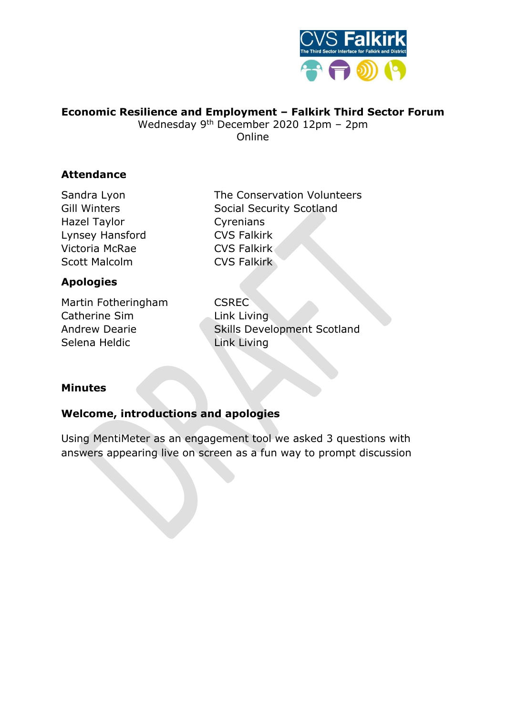

### **Economic Resilience and Employment – Falkirk Third Sector Forum**

Wednesday 9th December 2020 12pm – 2pm **Online** 

### **Attendance**

Hazel Taylor **Cyrenians** Lynsey Hansford CVS Falkirk Victoria McRae CVS Falkirk Scott Malcolm **CVS Falkirk** 

# Sandra Lyon The Conservation Volunteers Gill Winters Social Security Scotland

### **Apologies**

Martin Fotheringham CSREC Catherine Sim Link Living Selena Heldic Link Living

Andrew Dearie **Skills Development Scotland** 

### **Minutes**

### **Welcome, introductions and apologies**

Using MentiMeter as an engagement tool we asked 3 questions with answers appearing live on screen as a fun way to prompt discussion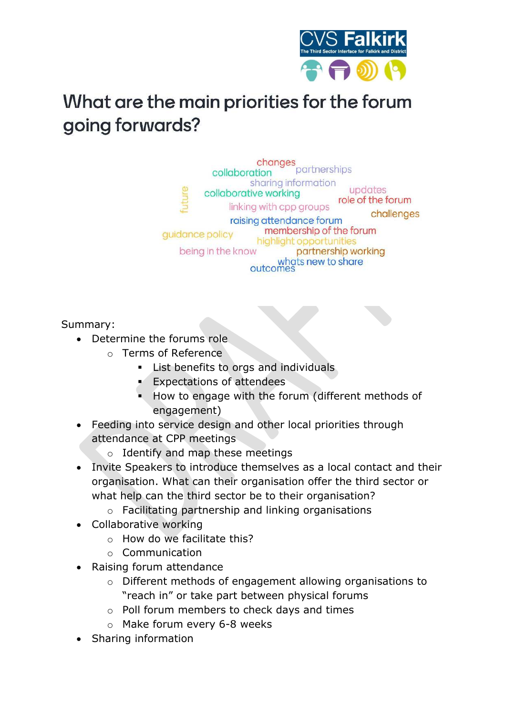

## What are the main priorities for the forum going forwards?

changes<br>tion partnerships collaboration sharing information updates collaborative working role of the forum linking with cpp groups challenges raising attendance forum membership of the forum guidance policy highlight opportunities being in the know partnership working whats new to share outcomes

Summary:

- Determine the forums role
	- o Terms of Reference
		- **EXECUTE:** List benefits to orgs and individuals
		- Expectations of attendees
		- How to engage with the forum (different methods of engagement)
- Feeding into service design and other local priorities through attendance at CPP meetings
	- o Identify and map these meetings
- Invite Speakers to introduce themselves as a local contact and their organisation. What can their organisation offer the third sector or what help can the third sector be to their organisation?
	- o Facilitating partnership and linking organisations
- Collaborative working
	- o How do we facilitate this?
	- o Communication
- Raising forum attendance
	- o Different methods of engagement allowing organisations to "reach in" or take part between physical forums
	- o Poll forum members to check days and times
	- o Make forum every 6-8 weeks
- Sharing information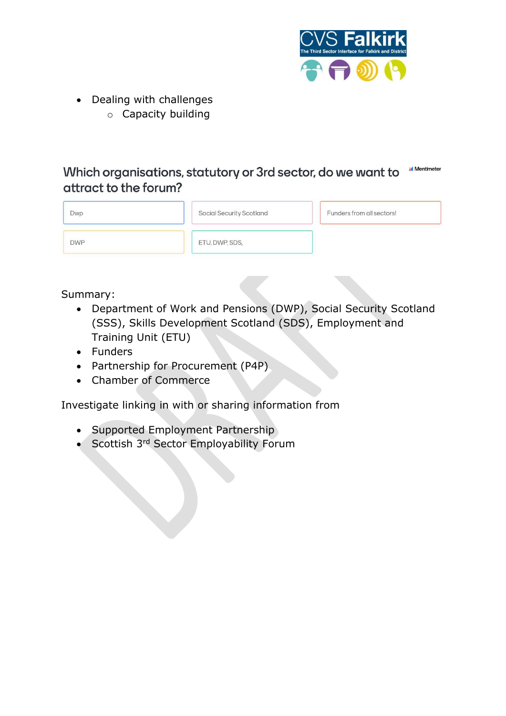

- Dealing with challenges
	- o Capacity building

**M** Mentimeter Which organisations, statutory or 3rd sector, do we want to attract to the forum?

| Dwp        | Social Security Scotland | Funders from all sectors! |
|------------|--------------------------|---------------------------|
| <b>DWP</b> | ETU, DWP, SDS,           |                           |

Summary:

- Department of Work and Pensions (DWP), Social Security Scotland (SSS), Skills Development Scotland (SDS), Employment and Training Unit (ETU)
- Funders
- Partnership for Procurement (P4P)
- Chamber of Commerce

Investigate linking in with or sharing information from

- Supported Employment Partnership
- Scottish 3<sup>rd</sup> Sector Employability Forum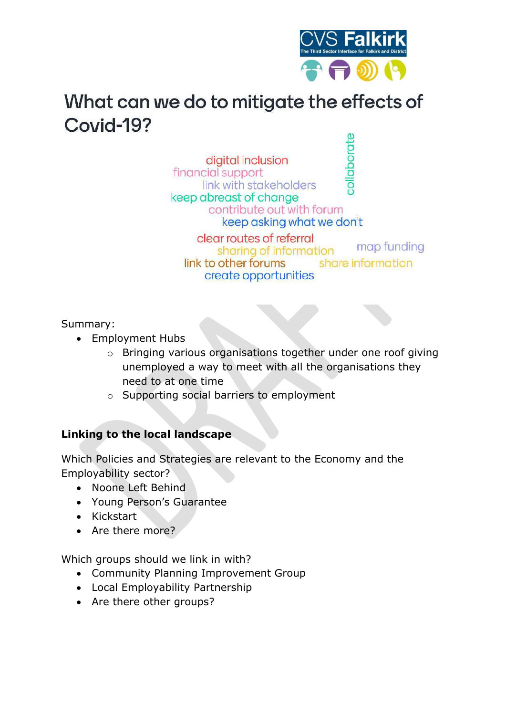

## What can we do to mitigate the effects of Covid-19?

collaborate digital inclusion financial support link with stakeholders keep abreast of change contribute out with forum keep asking what we don't clear routes of referral sharing of information link to other forums

create opportunities

map funding share information

Summary:

- Employment Hubs
	- o Bringing various organisations together under one roof giving unemployed a way to meet with all the organisations they need to at one time
	- o Supporting social barriers to employment

### **Linking to the local landscape**

Which Policies and Strategies are relevant to the Economy and the Employability sector?

- Noone Left Behind
- Young Person's Guarantee
- Kickstart
- Are there more?

Which groups should we link in with?

- Community Planning Improvement Group
- Local Employability Partnership
- Are there other groups?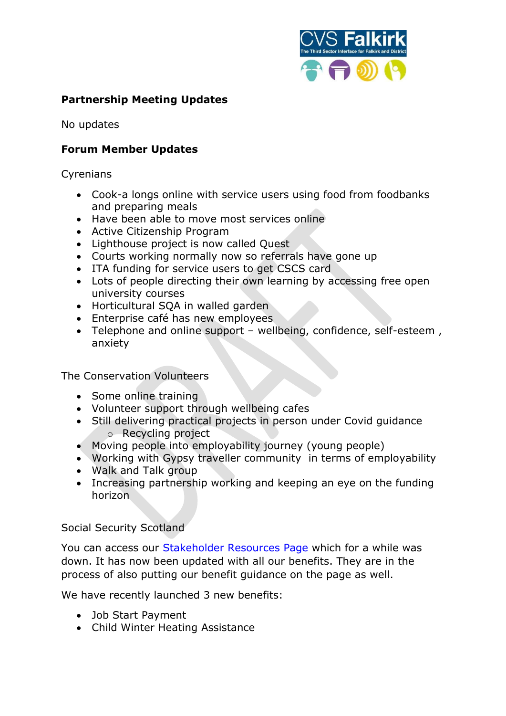

### **Partnership Meeting Updates**

No updates

### **Forum Member Updates**

**Cyrenians** 

- Cook-a longs online with service users using food from foodbanks and preparing meals
- Have been able to move most services online
- Active Citizenship Program
- Lighthouse project is now called Quest
- Courts working normally now so referrals have gone up
- ITA funding for service users to get CSCS card
- Lots of people directing their own learning by accessing free open university courses
- Horticultural SQA in walled garden
- Enterprise café has new employees
- Telephone and online support wellbeing, confidence, self-esteem , anxiety

The Conservation Volunteers

- Some online training
- Volunteer support through wellbeing cafes
- Still delivering practical projects in person under Covid guidance o Recycling project
- Moving people into employability journey (young people)
- Working with Gypsy traveller community in terms of employability
- Walk and Talk group
- Increasing partnership working and keeping an eye on the funding horizon

#### Social Security Scotland

You can access our [Stakeholder Resources Page](https://urldefense.proofpoint.com/v2/url?u=https-3A__www.socialsecurity.gov.scot_guidance-2Dresources_resources-3Fkeyword-3D-26startday-3D-26startmonth-3D-26startyear-3D-26endday-3D-26endmonth-3D-26endyear-3D&d=DwMFAw&c=euGZstcaTDllvimEN8b7jXrwqOf-v5A_CdpgnVfiiMM&r=G1KkPQOZgqo2GRS5LCBidNZRw9IV2k9sSOwuJoT5nXA&m=1xJ2gYFNXvxHfpBo8Qar1Y7afqW63dzZdaX5z50ewLs&s=pjdpBdkTFN4RVFfFNTzm608CFTYwHSCWXPM02HfPQUY&e=) which for a while was down. It has now been updated with all our benefits. They are in the process of also putting our benefit guidance on the page as well.

We have recently launched 3 new benefits:

- Job Start Payment
- Child Winter Heating Assistance